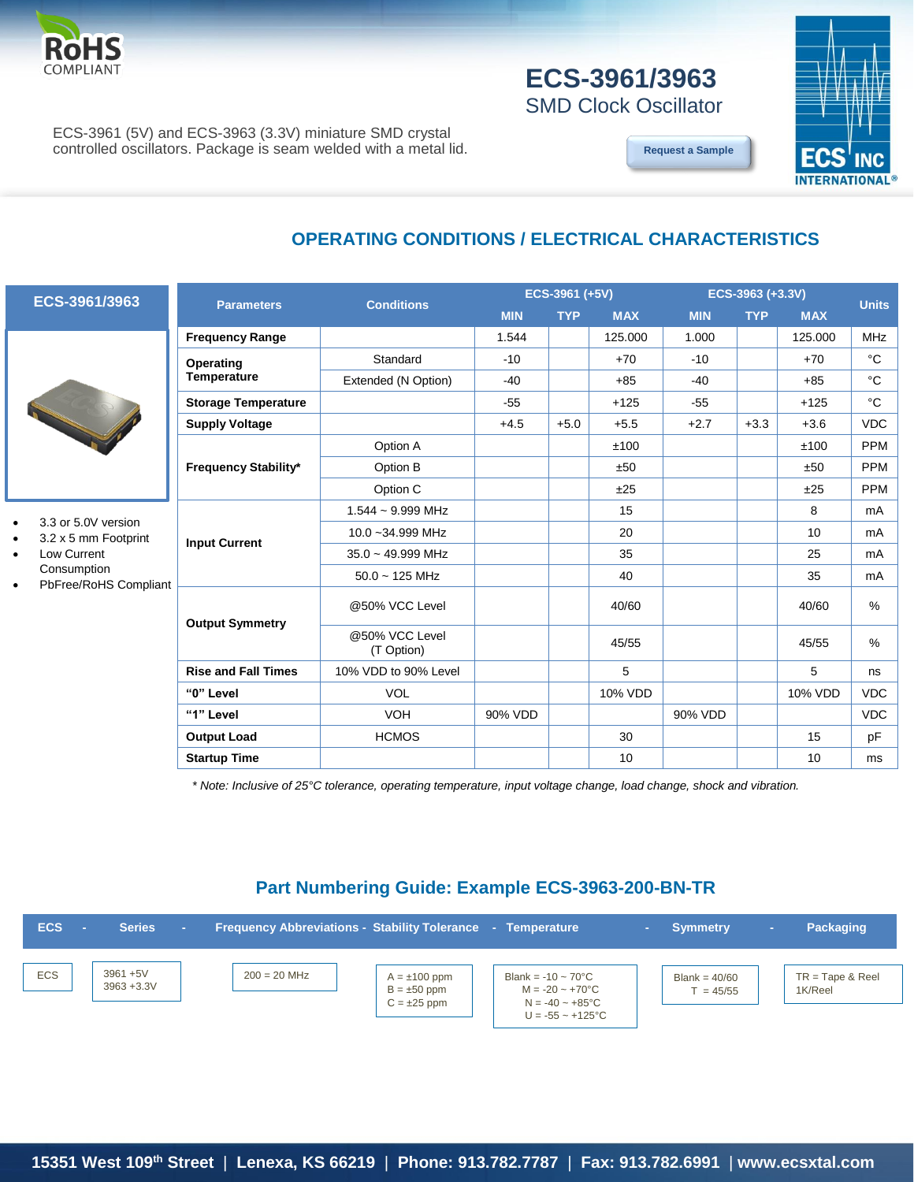

# **ECS-3961/3963**

SMD Clock Oscillator

ECS-3961 (5V) and ECS-3963 (3.3V) miniature SMD crystal controlled oscillators. Package is seam welded with a metal lid.





### **OPERATING CONDITIONS / ELECTRICAL CHARACTERISTICS**

|  |  | ECS-3961/3963 |  |
|--|--|---------------|--|
|  |  |               |  |



- 3.3 or 5.0V version
- 3.2 x 5 mm Footprint
- Low Current Consumption
- PbFree/RoHS Compliant

|                            | <b>Conditions</b>            | ECS-3961 (+5V) |            |            | ECS-3963 (+3.3V) |            |            |              |  |
|----------------------------|------------------------------|----------------|------------|------------|------------------|------------|------------|--------------|--|
| <b>Parameters</b>          |                              | <b>MIN</b>     | <b>TYP</b> | <b>MAX</b> | <b>MIN</b>       | <b>TYP</b> | <b>MAX</b> | <b>Units</b> |  |
| <b>Frequency Range</b>     |                              | 1.544          |            | 125.000    | 1.000            |            | 125.000    | <b>MHz</b>   |  |
| Operating                  | Standard                     | $-10$          |            | $+70$      | $-10$            |            | $+70$      | $^{\circ}C$  |  |
| <b>Temperature</b>         | Extended (N Option)          | $-40$          |            | $+85$      | $-40$            |            | $+85$      | °C           |  |
| <b>Storage Temperature</b> |                              | $-55$          |            | $+125$     | $-55$            |            | $+125$     | °C           |  |
| <b>Supply Voltage</b>      |                              | $+4.5$         | $+5.0$     | $+5.5$     | $+2.7$           | $+3.3$     | $+3.6$     | <b>VDC</b>   |  |
| Frequency Stability*       | Option A                     |                |            | ±100       |                  |            | ±100       | <b>PPM</b>   |  |
|                            | Option B                     |                |            | ±50        |                  |            | ±50        | <b>PPM</b>   |  |
|                            | Option C                     |                |            | ±25        |                  |            | ±25        | <b>PPM</b>   |  |
|                            | 1.544 ~ 9.999 MHz            |                |            | 15         |                  |            | 8          | mA           |  |
| <b>Input Current</b>       | 10.0~34.999 MHz              |                |            | 20         |                  |            | 10         | mA           |  |
|                            | $35.0 - 49.999$ MHz          |                |            | 35         |                  |            | 25         | mA           |  |
|                            | $50.0 - 125$ MHz             |                |            | 40         |                  |            | 35         | mA           |  |
| <b>Output Symmetry</b>     | @50% VCC Level               |                |            | 40/60      |                  |            | 40/60      | $\%$         |  |
|                            | @50% VCC Level<br>(T Option) |                |            | 45/55      |                  |            | 45/55      | $\%$         |  |
| <b>Rise and Fall Times</b> | 10% VDD to 90% Level         |                |            | 5          |                  |            | 5          | ns           |  |
| "0" Level                  | <b>VOL</b>                   |                |            | 10% VDD    |                  |            | 10% VDD    | <b>VDC</b>   |  |
| "1" Level                  | <b>VOH</b>                   | 90% VDD        |            |            | 90% VDD          |            |            | <b>VDC</b>   |  |
| <b>Output Load</b>         | <b>HCMOS</b>                 |                |            | 30         |                  |            | 15         | pF           |  |
| <b>Startup Time</b>        |                              |                |            | 10         |                  |            | 10         | ms           |  |

*\* Note: Inclusive of 25°C tolerance, operating temperature, input voltage change, load change, shock and vibration.*

#### **Part Numbering Guide: Example ECS-3963-200-BN-TR**